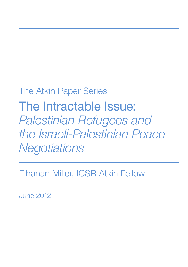# The Atkin Paper Series

The Intractable Issue: *Palestinian Refugees and the Israeli-Palestinian Peace Negotiations*

Elhanan Miller, ICSR Atkin Fellow

June 2012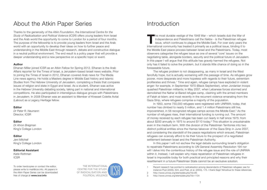## About the Atkin Paper Series

Thanks to the generosity of the *Atkin Foundation*, the *International Centre for the Study of Radicalisation and Political Violence (ICSR)* offers young leaders from Israel and the Arab world the opportunity to come to London for a period of four months. The purpose of the fellowship is to provide young leaders from Israel and the Arab world with an opportunity to develop their ideas on how to further peace and understanding in the Middle East through research, debate and constructive dialogue in a neutral political environment. The end result is a policy paper that will provide a deeper understanding and a new perspective on a specific topic or event.

#### **Author**

Elhanan Miller joined ICSR as an Atkin Fellow for Spring 2012. Elhanan is the Arab Affairs reporter for the Times of Israel, a Jerusalem-based Israeli news website. Prior to joining the Times of Israel in 2012, Elhanan covered Arab news for The Media Line news agency. He holds a Masters degree in Middle East history and Islamic Studies from The Hebrew University of Jerusalem, completing a thesis that compares issues of religion and state in Egypt and Israel. As a student, Elhanan was active in the Hebrew University debating society, taking part in national and international competitions. He also participated in interreligious dialogue groups with Palestinians in Jerusalem. In 2008 Elhanan was an assistant to Member of Knesset Colette Avital (Labour) as a Legacy Heritage fellow.

#### **Editor**

*Dr Peter R. Neumann* Director, ICSR

#### **Editor**

*Dr Ahron Bregman*  King's College London

#### **Editor**

*Jeni Mitchell* King's College London

#### **Editorial Assistant**

*Katie Rothman* ICSR

To order hardcopies or contact the editor, please write to mail@icsr.info. All papers in the *Atkin Paper Series* can be downloaded free of charge at **www.icsr.info**



## Introduction

The most durable vestige of the 1948 War – which Israelis dub the War of Independence and Palestinians call the *Nakba* - is the Palestinian refugee issue, which continues to plague the Middle East. For over sixty years th Independence and Palestinians call the *Nakba* - is the Palestinian refugee issue, which continues to plague the Middle East. For over sixty years the international community has treated it primarily as a political issue, binding it to the Middle East peace process between Israel and the Palestinians. Today, most observers categorise the refugee issue as one of several 'core' issues on the negotiating table, alongside borders, security and the political future of Jerusalem. In this paper I will argue that this attitude has gravely harmed the refugees. Not only has it failed to solve the problem, but it stands little chance of doing so in the foreseeable future.

The refugee problem is not disappearing, as many in Israel and the West fancifully hope, but is actually worsening with the passage of time. As refugees grow poorer, more desperate and more hopeless with regards to their future, extremism proliferates and thrives.<sup>1</sup> Time and again, refugee camps have exploded in violent anger: for example, in September 1970 (Black September), when Jordanian troops quashed Palestinian militants; in May 2007, when Lebanese forces stormed and demolished the Nahar al-Bared refugee camp, clashing with the armed members of Fatah al-Islam; and most recently in the recurrent violence emanating from the Gaza Strip, where refugees comprise a majority of the population.

In 1950, some 750,000 refugees were registered with UNRWA; today, that number has climbed to nearly 5 million, and 1.4 million Palestinians still live, impoverished, in 58 recognized refugee camps across the Middle East.2 As the number of refugees rises, their international funding is running out. The amount of money received by each refugee has been cut nearly in half since 1975: from about \$200 annually in 1975 to around \$110 today.3 This situation is unsustainable even in the medium term. With the division of the Palestinian Territories into two distinct political entities since the Hamas takeover of the Gaza Strip in June 2007, and considering the standstill of the peace negotiations which ensued, Palestinian refugees can scarcely afford to tie their future to the prospect of a negotiated settlement between Israel and the Palestinian Authority.

In this paper I will not eschew the legal debate surrounding Israel's obligation to repatriate Palestinians according to UN General Assembly Resolution 194 nor will I delve into the contentious history of the refugee issue and the role of UNRWA within it. Instead, I will explain why mass repatriation of Palestinian refugees in Israel is impossible *today* for both practical and principled reasons and why their resettlement in a future Palestinian State cannot be an exclusive solution.

3 <http://www.unrwa.org/etemplate.php?id=1134>

<sup>1</sup> Recent research has pointed to radicalisation among descendants of Palestinian refugees; see for instance Post (2005), 624, and Post, et al. (2003), 175. I thank Sagit Yehoshua for these references.

<sup>2</sup> <http://www.unrwa.org/etemplate.php?id=85>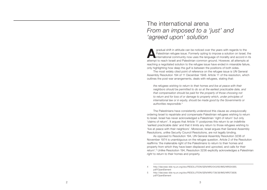### The international arena *From an imposed to a 'just' and 'agreed upon' solution*

**A a**gradual shift in attitude can be noticed over the years with regards to the Palestinian refugee issue. Formerly opting to impose a solution on Israel, international community now uses the language of morality and acco Palestinian refugee issue. Formerly opting to impose a solution on Israel, the international community now uses the language of morality and accord in its attempt to reach Israeli and Palestinian common ground. However, all attempts at reaching a negotiated solution to the refugee issue have ended in miserable failure, only highlighting how deep the gulf is between the positions of both sides.

The most widely cited point of reference on the refugee issue is UN General Assembly Resolution 194 of 11 December 1948. Article 11 of the resolution, which outlines the post-war arrangements, deals with refugees, stating that:

*the refugees wishing to return to their homes and live at peace with their neighbors should be permitted to do so at the earliest practicable date, and that compensation should be paid for the property of those choosing not to return and for loss of or damage to property which, under principles of international law or in equity, should be made good by the Governments or authorities responsible.* 4

The Palestinians have consistently understood this clause as unequivocally ordering Israel to repatriate and compensate Palestinian refugees wishing to return to Israel. Israel has never acknowledged a Palestinian 'right of return' but only 'claims of return'. It argues that Article 11 postpones this return to an indefinite 'earliest practicable date' and that it limits any return to those refugees wishing to 'live at peace with their neighbors'. Moreover, Israel argues that General Assembly Resolutions, unlike Security Council Resolutions, are not legally binding.

As opposed to Resolution 194, UN General Assembly Resolution 3236 of November 1974 is unambiguous on the refugee question. Article 2 of the Resolution reaffirms 'the inalienable right of the Palestinians to return to their homes and property from which they have been displaced and uprooted, and calls for their return'. 5 Unlike Resolution 194, Resolution 3236 explicitly acknowledges a Palestinian *right* to return to their homes and property.

<sup>4</sup> [http://daccess-dds-ny.un.org/doc/RESOLUTION/GEN/NR0/043/65/IMG/NR004365.](http://daccess-dds-ny.un.org/doc/RESOLUTION/GEN/NR0/043/65/IMG/NR004365.pdf?OpenElement) [pdf?OpenElement](http://daccess-dds-ny.un.org/doc/RESOLUTION/GEN/NR0/043/65/IMG/NR004365.pdf?OpenElement) 

<sup>5</sup> [http://daccess-dds-ny.un.org/doc/RESOLUTION/GEN/NR0/738/38/IMG/NR073838.](http://daccess-dds-ny.un.org/doc/RESOLUTION/GEN/NR0/738/38/IMG/NR073838.pdf?OpenElement) [pdf?OpenElement](http://daccess-dds-ny.un.org/doc/RESOLUTION/GEN/NR0/738/38/IMG/NR073838.pdf?OpenElement)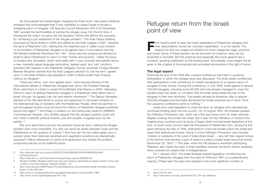As time passed and Israel began engaging the Arab world, new peace initiatives emerged that acknowledged that it was unrealistic to expect Israel to accept a sweeping return of refugees. UN Security Council Resolution 242 of 22 November 1967 avoided the technicalities of solving the refugee issue. For the first time, it introduced the notion of justice into the equation: Article 2(b) affirms the necessity for 'achieving a just settlement of the refugee problem'.<sup>6</sup> The Arab Peace Initiative, proposed by Saudi Arabia in 2002 and ratified by the Arab League in 2007, adopted the spirit of Resolution 242, stating that the objective was to 'attain a just solution to the problem of Palestinian refugees to be agreed upon in accordance with the UN General Assembly Resolution No. 194'.7 Gone was the unequivocal demand of Israel to allow Palestinians to return to their 'homes and property'. Unlike the issue of borders and Jerusalem, which were dealt with in very concrete and specific terms, a new, markedly vague language advocating 'agreed upon' and 'just' solutions prevailed with regards to the Palestinian refugees. Former Jordanian Foreign Minister Marwan Muasher claimed that the Arab League`s decision to use the term 'agreed upon' in the Arab Initiative was adopted in order to abate Israel's fear of being overrun by refugees.<sup>8</sup>

These two terms, 'just' and 'agreed upon', have become fixtures of the international debate on Palestinian refugees ever since. US President George Bush used them in a letter to Israeli Prime Minister Ariel Sharon in 2004, reiterating Clinton's vision of settling Palestinian refugees in a Palestinian state rather than in Israel, through 'an agreed, just, fair and realistic framework'.9 The Deputy Secretary-General of the UN paid tribute to justice and agreement in his recent remarks on the International Day of Solidarity with the Palestinian People, when he said that 'a just and agreed solution must be found for millions of Palestinian refugees scattered around the region'.10 And finally, a variation on this theme was made by UNRWA's Commissioner-General, who similarly argued that the refugee question could only end 'when a specific political solution, just and durable, is agreed upon by the parties'.11

But such aphorisms only blur the practical issues at hand, making the refugee problem even more intractable. For who can serve as arbiter between Israel and the Palestinians on the question of 'justice'? And how can the two sides agree upon a solution when their historical narratives and negotiation positions are diametrically opposed? Hollow references to justice and agreement only solidify the problem, postponing solution to an indefinite future.

### Refugee return from the Israeli point of view

**From Israel's point of view, the mass repatriation of Palestinian refugees and their descendants, known as 'voluntary repatriation', is a non-starter. The reasons for this can roughly be divided into three categories: leg** their descendants, known as 'voluntary repatriation', is a non-starter. The reasons for this can roughly be divided into three categories: legal, practical and moral. Some of these barriers can be removed; for instance, laws can be amended or annulled. But the practical and especially the moral aspects are a constant, granting justification to the existing laws. Accordingly, more weight will be given in this chapter to the practical and principled dimensions of the right of return.

#### **The legal aspect**

Following the end of the 1948 War, a peace conference was held in Lausanne, Switzerland, in which the refugee issue was discussed. The Arab states conditioned their participation in the conference on Israel's acceptance of a massive return of refugees to their homes. During the conference, in July 1949, Israel agreed to absorb 100,000 refugees, including some 65,000 who had already managed to cross the borders back into Israel, on condition that the Arab states settle the rest of the refugees in their own territories. The Israelis refused an American offer to absorb 250,000 refugees and the Arabs dismissed the Israeli proposal out of hand. Thus, the Lausanne conference came to nothing.12

Israel soon used legislation to close the door on refugees who clandestinely continued trickling back into the country. On 16 August 1954, the Knesset passed the Infiltration Prevention Law, which set a five-year prison term for Arab nationals illegally crossing the border into Israel. But it was not the infiltration of citizens from neighbouring countries such as Syria or Egypt which worried Israeli legislators at the time: of much more concern were the thousands of Palestinians who, during the first years following the War of 1948, attempted to cross the borders back into Israel and reach their abandoned homes. Article 3 of the Infiltration Prevention Law includes 'citizens or residents of the Land of Israel *(Eretz Israel)* … who left their regular homes in the territory that became a part of Israel to a place outside Israel since that period (November 29, 1947)'.13 This date, when the UN passed a resolution partitioning Palestine, also marks the start of Arab hostilities towards the land's Jewish residents, which evolved into Israel's War of Independence.

On 1 January 2001, the Israeli Knesset passed legislation conditioning the return of Palestinian refugees from the wars of 1948 and 1967 on a parliamentary majority. (These were the wars that resulted in the most significant number of

<sup>6</sup> [http://daccess-dds-ny.un.org/doc/RESOLUTION/GEN/NR0/240/94/IMG/NR024094.](http://daccess-dds-ny.un.org/doc/RESOLUTION/GEN/NR0/240/94/IMG/NR024094.pdf?OpenElement) [pdf?OpenElement](http://daccess-dds-ny.un.org/doc/RESOLUTION/GEN/NR0/240/94/IMG/NR024094.pdf?OpenElement)

<sup>7</sup> [http://news.bbc.co.uk/2/hi/world/monitoring/media\\_reports/1899395.stm](http://news.bbc.co.uk/2/hi/world/monitoring/media_reports/1899395.stm)

<sup>8</sup> Muasher (2008b). Muasher claims that Syria and Lebanon demanded an explicit mention of the right of return in the Arab Initiative. Muasher (2008a), 119.

<sup>9</sup> [http://www.mfa.gov.il/MFA/Peace+Process/Reference+Documents/Exchange+of+letters+Sharon-](http://www.mfa.gov.il/MFA/Peace+Process/Reference+Documents/Exchange+of+letters+Sharon-Bush+14-Apr-2004.htm)[Bush+14-Apr-2004.htm](http://www.mfa.gov.il/MFA/Peace+Process/Reference+Documents/Exchange+of+letters+Sharon-Bush+14-Apr-2004.htm)

<sup>10</sup> [http://www.un.org/apps/news/infocus/sgspeeches/search\\_full.asp?statID=1396](http://www.un.org/apps/news/infocus/sgspeeches/search_full.asp?statID=1396)

<sup>11</sup> <http://www.unrwa.org/etemplate.php?id=1162>

<sup>12</sup> Morris (2010), 450.

<sup>13</sup> [http://www.nevo.co.il/Law\\_word/law01/247\\_001.doc](http://www.nevo.co.il/Law_word/law01/247_001.doc) (Hebrew)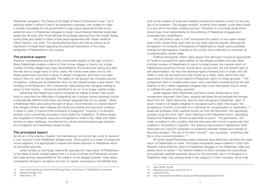Palestinian refugees.) The Denial of the Right of Return Enforcement Law,<sup>14</sup> as it explicitly states in Article 4 and in its explanatory passage, was drafted to make it virtually impossible for the government to sign peace agreements that would entail the return of Palestinian refugees to Israel. Likud Knesset Member Israel Katz tabled the bill soon after Prime Minister Ehud Barak returned from the United States, having tried (and failed) to reach a final peace agreement with Yasser Arafat at Camp David in July 2000. The aforementioned laws can only be viewed as an expression of Israeli fears regarding the practical implications of the mass emigration of Palestinians to the country.

#### **The practical aspect**

Practical considerations are key in the cost-benefit analysis of the right of return. Many Palestinians imagine a return to their former villages or towns, but a large number of these villages have been demolished by the Israeli army during and after the war and no longer exist. In other cases, the homes were taken over by the Israeli government and sold or given to Jewish immigrants, who have now been living in them for over six decades. The reality on the ground has changed beyond recognition, making actual Palestinian return to the original locales a pipe dream. The wording of UN Resolution 194 of December 1948 stating that 'refugees wishing to return to their homes … should be permitted to do so' is no longer realistic today.

Assuming that Palestinians were to emigrate en masse to Israel, they would have to cope with the difficulties of integrating into a society whose dominant culture is dramatically different than theirs and whose language they do not speak.<sup>15</sup> Badil, a Palestinian NGO advocating the right of return, recommended in a recent report<sup>16</sup> that refugee children learn Hebrew and study the political and economic systems in Israel in order to improve their prospects of integration. However, it is doubtful whether such rudimentary education would suffice for integration. To demonstrate, the integration of Ethiopian Jews who immigrated to Israel in the 1980s and 1990s remains a major challenge, considering the cultural and educational gap between the immigrants and mainstream Israeli society.

#### **The principled aspect**

As shown in the previous chapter, the international community has come to demand a 'just' solution to the Palestinian refugee issue. Since justice is a matter of subjective moral judgment, it is appropriate to explain the Israeli objection to Palestinian return on principled grounds.

Israeli society, by and large, adamantly opposes the mass return of Palestinians to the State of Israel. Israelis believe that it is Arab countries and Palestinian society who bear primary responsibility for the creation of the refugee problem. Arab states consistently refused to recognize any form of Jewish sovereignty in the Middle East

prior to the creation of Israel and militarily invaded the nascent country on the very day of its inception. The refugee problem, contend most Israelis, is the direct result of a war which the Arabs initiated and lost. Therefore, it is the Arab world which should bear most responsibility for the suffering of Palestinian refugees and undertake their rehabilitation.

The UN partition plan of 1947 envisioned the creation of two nation-states west of the Jordan River, each with its own clear national majority. Allowing the immigration of hundreds of thousands of Palestinians to Israel could potentially change the demographic makeup of the country and undermine its character as a predominantly Jewish state.

Political philosopher Chaim Gans argues that although it would be appropriate for Israel to recognize its responsibility for the refugee problem and even allow a limited number of Palestinians to return to Israel proper, the massive return of Palestinians would be immoral. Actual return would harm not only Israel's right to self-determination, but also the individual rights of Israelis born in Israel, who will suffer or even be uprooted from their homes as a result. Gans claims that even opponents of Zionism should object to Palestinian return on these grounds.17 The prospective harm to Israelis seems even more unjustified considering that the vast majority of the 5 million registered refugees have never themselves lived in Israel or suffered the pain of being uprooted.

Israeli legalists Yaffa Zilbershats and Nimra Goren-Amitai take a more conservative approach than Gans, arguing that Israel should exclude the refugee issue from the 'rights discourse' and not even recognize a Palestinian 'right' of return. Israel is not legally obligated to recognize such a right, they argue, the acceptance of which could later incur demands for compensation or repatriation.18 Israeli law professor Ruth Lapidoth points out that UN Resolution 194 specifically avoided using the word 'right' when referring to the Palestinian return, stipulating instead that Palestinians 'should be permitted to return'. This permission, she notes, is subject to the condition that the returnees wish to live in peace with their neighbors. According to Lapidoth, 'the violence that erupted in September 2000 forecloses any hope for a peaceful co-existence between Israelis and masses of returning refugees. The use of the term "should"', she concludes, 'underlines that this is only a recommendation'.19

All recent Israeli-Palestinian peace initiatives have effectively canceled the mass return of Palestinians to Israel. The Ayalon-Nusseibeh peace initiative of 2003 (the People's Voice) limits the return of Palestinian refugees to the Palestinian state and denies return to Israel.20 The Geneva Initiative of 2003, probably the most liberal and publically debated proposal, allows for the automatic return of refugees to a Palestinian state only, placing Israel in the category of 'third countries' which may

<sup>14</sup> <http://www.knesset.gov.il/laws/heb/FileD.asp?Type=1&LawNum=1772&SubNum=2>(Hebrew)

<sup>15</sup> Muasher (2008a), 204.

<sup>16</sup> Badil (2007), 36.

<sup>17</sup> Gans (2008), 84-86.

<sup>18</sup> Zilbershats and Goren-Amitai (2010), 9.

<sup>19</sup> Lapidoth (2002).

<sup>20</sup> <http://www.jewishvirtuallibrary.org/jsource/Peace/peoplesvoiceplan.html>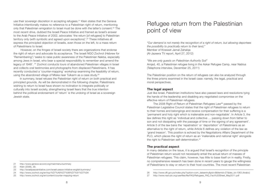use their sovereign discretion in accepting refugees.21 Klein states that the Geneva Initiative intentionally makes no reference to a Palestinian right of return, mentioning only that Palestinian emigration to Israel must be done with the latter's consent.22 The most recent drive, dubbed the Israeli Peace Initiative and framed as Israel's answer to the Arab Peace Initiative of 2002, advocates 'the return [of refugees] to Palestinian territory only (with symbolic and agreed upon exceptions)'.<sup>23</sup> These initiatives all express the principled objection of Israelis, even those on the left, to a mass return of Palestinians to Israel.

 However, on the fringes of Israeli society there are organizations that endorse the right of return and advocate its acceptance. The Israeli NGO Zochrot (Hebrew for 'Remembering') 'seeks to raise public awareness of the Palestinian Nakba, especially among Jews in Israel, who bear a special responsibility to remember and amend the legacy of 1948'. 24 Zochrot conducts tours of abandoned Palestinian villages in Israel and collects oral testimonies and photographs from displaced Palestinians. It has recently conducted a 'counter-mapping' workshop examining the feasibility of return, using the abandoned village of Miska near Tulkarm as a case study.25

In summary, Israel refuses the Palestinian right of return on both practical and principled grounds. As will be demonstrated in the following chapter, Palestinians wishing to return to Israel have shown no inclination to integrate politically or culturally into Israeli society, strengthening Israeli fears that the true intention behind the political endorsement of 'return' is the undoing of Israel as a sovereign Jewish state.

*"Our demand is not merely the recognition of a right of return, but allowing deportees the possibility to practically return to their land,"* Member of Knesset Jamal Zahalqa (Al-Jazeera TV report, April 27, 2012)

*"We are only guests on Palestinian Authority Soil"* Amjad, 40, a Palestinian refugee living in the Askar Refugee Camp, near Nablus (Telephone interview, December 25, 2011)

The Palestinian position on the return of refugees can also be analyzed through the three prisms examined in the Israeli case: namely, the legal, practical and moral perspectives.

#### **The legal aspect**

Just like Israel, Palestinian institutions have also passed laws and resolutions tying the hands of the leadership and disabling any negotiated compromise on the effective return of Palestinian refugees.

The 2008 Right of Return of Palestinian Refugees Law26 passed by the Palestinian Legislative Council states that the right of Palestinian refugees to return to their homes and belongings and receive compensation for their suffering is a 'permanent and holy right which is inalienable and non-negotiable'. In Article 3, the law defines this right as 'individual and collective … passing down from father to son and not dissipating with the passage of time or the signing of any agreement'. Article 5 of the law bans the 'repatriation' or 'deportation' of Palestinians as an alternative to the right of return, while Article 6 defines any violation of the law as 'grand treason'. This position is echoed by the Negotiations Affairs Department of the PLO, which places the right of return as an 'inalienable and national right' alongside the right to Palestinian self-determination.27

#### **The practical aspect**

In many debates on the issue, it is argued that Israel's recognition of the principle of Palestinian return would not necessarily entail the actual return of masses of Palestinian refugees. This claim, however, has little to base itself on in reality. Firstly, no comprehensive research has been done in recent years to gauge the willingness of Palestinians to stay or return to their host countries. The most recent Palestinian

<sup>21</sup> <http://www.geneva-accord.org/mainmenu/summary>

<sup>22</sup> Klein (2006), 39.

<sup>23</sup> <http://israelipeaceinitiative.com/israeli-peace-initiative-english/summary/>

<sup>24</sup> <http://www.zochrot.org/en/top/%D7%A9%D7%99%D7%91%D7%94>

<sup>25</sup> <http://www.zochrot.org/en/content/counter-mapping-return>

<sup>26</sup> [http://www.dft.gov.ps/index.php?option=com\\_dataentry&pid=8&Itemid=27&des\\_id=1063](http://www.dft.gov.ps/index.php?option=com_dataentry&pid=8&Itemid=27&des_id=1063) (Arabic)

<sup>27</sup> http://www.nad-plo.org/userfiles/file/FAQ/Refugees\_FAQ\_Fact%20Sheet\_May2011.pdf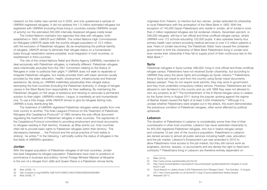research on the matter was carried out in 2002, and only questioned a sample of UNRWA-registered refugees. It did not address the 1.5 million estimated refugees not registered with UNRWA (including those living in countries outside UNRWA's scope of activity) nor the estimated 350,000 internally displaced refugees inside Israel.

The United Nations maintains two agencies that deal with refugees, both established in 1950: UNHCR and UNRWA. The United Nations High Commissioner for Refugees (UNHCR) deals with the world's refugee population of 10.5 million, with the exclusion of Palestinian refugees. By de-emphasizing the political identity of refugees, UNHCR strives to eliminate their refugee status on a humanitarian basis through repatriation (where possible), local integration in host countries, or resettlement in third countries.

The role of the United Nations Relief and Works Agency (UNRWA), mandated to deal exclusively with Palestinian refugees, is markedly different. Palestinian refugees were intentionally excluded from the 1951 Convention relating to the Status of Refugees in order to politicize their plight.28 UNRWA does not seek to repatriate or integrate Palestinian refugees, but merely provides them with basic services usually provided by the state: education, health, employment, infrastructures and financial assistance. By doing so, UNRWA indefinitely perpetuates their refugee status, exempting the host countries (including the Palestinian Authority, in charge of refugee camps in the West Bank) from responsibility for their wellbeing. By maintaining the Palestinian refugees on the verge of existence and refusing to advocate a permanent solution to their plight, UNRWA's mission, I argue, is manifestly an anti-humanitarian one. To use a trite image, while UNHCR strives to give its refugees fishing rods, UNRWA is busy distributing fish.

The treatment of UNRWA-registered Palestinian refugees varies greatly from one host country to another. The Arab League's Protocol on the Treatment of Palestinian Refugees (the Casablanca Protocol)<sup>29</sup> of 1965 remains the sole official document regulating the treatment of Palestinian refugees in Arab countries. The signatories of the Casablanca Protocol committed to providing employment and travel documents to refugees residing in their territory. However, as Bitar points out, host countries often fail to provide basic rights to Palestinian refugees within their territory. 'The discrepancy between … the Protocol and the actual practice of host states is striking', he writes.<sup>30</sup> In the following, I will briefly outline the status of refugees in the five fields of UNRWA's operation.

#### **Jordan**

With the largest population of Palestinian refugees of all host countries, Jordan has best integrated its refugee population. Palestinians have risen to positions of prominence in business and politics: former Foreign Minister Marwan al-Muasher is the son of a refugee from Jaffa and Queen Rania is a Palestinian whose family

originates from Tulkarm, to mention but two names. Jordan extended its citizenship to local Palestinians with the annexation of the West Bank in 1950. With the exception of 140,000 Gazan Palestinians who reside in Jordan, all of Jordan's more than 2 million registered refugees are full Jordanian citizens. Seventeen percent, or 346,000 refugees, still live in ten official and three unofficial refugee camps, where UNRWA runs 172 schools educating 120,000 pupils. It also operates twenty-four primary health care centers providing medical services to over 2.3 million patients a year. Fears of Jordan becoming 'the Palestinian State' have caused the Jordanian government to limit the citizenship of West Bank Palestinians living in Jordan and even revoke their citizenship if they fail to supply proof of their continuous ties to the West Bank<sup>31</sup>

#### **Syria**

Palestinian refugees in Syria number 496,000, living in nine official and three unofficial refugee camps. Palestinians have not received Syrian citizenship, but according to UNRWA they enjoy the same rights and privileges as Syrian citizens.32 Palestinians living in Syria can travel to and from the country using Syrian travel documents (laissez-passer). They do not require work permits, they may work in government, and they must undertake compulsory military service. However, Palestinians are not allowed to own farmland in the country and up until 1968 they were not allowed to own any property at all.<sup>33</sup> The bombardment of the A-Ramel refugee camp in Latakia by the Syrian Army in August 2011 during the popular uprising against the regime of Bashar Assad caused the flight of at least 5,000 inhabitants.34 Although it is unclear whether Palestinians were singled out in the attack, this event demonstrates the precarious condition of Palestinian refugees, often worst affected by political upheavals.

#### **Lebanon**

The situation of Palestinians in Lebanon is considerably worse than that of their counterparts in other host countries. Lebanon has never extended citizenship to its 455,000 registered Palestinian refugees, who live in twelve refugee camps and comprise 10 per cent of the country's population. Palestinians in Lebanon are denied access to almost all public services including health care, education and the job market. Lebanon's Employment Law was amended in 2010 to allow Palestinians more access to the job market, but they still cannot work as engineers, doctors, lawyers, or accountants and are denied the right to fixed-term contracts.35 Palestinians living in Lebanon are therefore entirely dependent on

<sup>28</sup> Bitar (2008), 13.

<sup>29</sup> <http://unispal.un.org/UNISPAL.NSF/0/E373EB5C166347AE85256E36006948BA>

<sup>30</sup> Bitar (2008), 17.

<sup>31</sup> Miller (2010).

<sup>32</sup> <http://www.unrwa.org/etemplate.php?id=55>

<sup>33</sup> [http://www.forcedmigration.org/research-resources/expert-guides/palestinian-refugees-in-syria/](http://www.forcedmigration.org/research-resources/expert-guides/palestinian-refugees-in-syria/fmo017.pdf) [fmo017.pdf](http://www.forcedmigration.org/research-resources/expert-guides/palestinian-refugees-in-syria/fmo017.pdf) 

<sup>34</sup> 'Syria Assault on Latakia drives 5,000 Palestinians from Refugee Camp', *The Guardian*, 15 August 2011 <http://www.guardian.co.uk/world/2011/aug/15/syria-palestinians-latakia-assault>

<sup>35</sup> Alabaster (2011).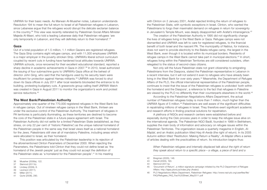UNRWA for their basic needs. As Marwan Al-Muasher notes, Lebanon understands Resolution 194 to mean the full return to Israel of all Palestinian refugees in Lebanon, since Lebanese argue that the refugees would disrupt the delicate sectarian balance in the country.36 This view was recently reiterated by Palestinian Social Affairs Minister Majeda Al-Masri, who told a leading Lebanese daily that Palestinian refugees 'are only temporarily in Lebanon, and they will definitely return to their homeland'.37

#### **Gaza**

Out of a total population of 1.5 million, 1.1 million Gazans are registered refugees. The Gaza Strip contains eight refugee camps, and with 11,000 employees UNRWA is a major employer in the poverty-stricken Strip. UNRWA's liberal school curriculum coupled by recent cuts in funding have hardened local attitudes towards UNRWA. UNRWA schools, once renowned for their excellent educational standard, reported a sharp decline in academic achievements in Gaza in 2007.<sup>38</sup> In 2010, Israel authorized the issuing of four submachine guns to UNRWA's Gaza office at the behest of director John Ging, who said that the handguns used by his security team were insufficient for protection against Hamas militants.39 UNRWA was forced to shut down its Gaza offices in July 2011 after local residents blockaded the entrance to its building, protesting budgetary cuts. A grassroots group calling itself UNRWA Watch was created in Gaza in August 2011 to monitor the organization's work and protest service reductions.<sup>40</sup>

#### **The West Bank/Palestinian Authority**

Approximately one-quarter of the 770,000 registered refugees in the West Bank live in refugee camps. Out of nineteen refugee camps in the West Bank, thirteen are under the exclusive control of the Palestinian Authority. The treatment of refugees in PA territories is particularly illuminating, as these territories are destined to become the core of the Palestinian state in a future peace agreement with Israel. The Palestinian Authority did not settle for a limited Palestinian State (established, as they stress, on only 22 per cent of 'historic Palestine') as the unique national homeland of the Palestinian people in the same way that Israel views itself as a national homeland for the Jews. Palestinians still view all of mandatory Palestine, including areas which were allocated to Israel, as their homeland.

This position was articulated by the Palestinian leadership in its rejection of the aforementioned Clinton Parameters of December 2000. When rejecting the Parameters, the Palestinians told Clinton that they could not define Israel as 'the homeland of the Jewish people' just as they could not accept the definition of the Palestinian state as 'a homeland for the Palestinian people'.41 In his meeting

- 40 Miller (2011).
- 41 Qurie (2008), 290.

The creation of the Palestinian Authority in 1995 did not significantly change the lives of refugees living in the West Bank or Gaza. Refugee camps were not dismantled and UNRWA was left to care for registered refugees, to the financial benefit of both Israel and the nascent PA. The municipality of Nablus, for instance, does not want to provide electricity to the Balata refugee camp, the largest in the West Bank, even though it is located within its municipal borders. Residents of refugee camps in the West Bank cannot take part in municipal elections.<sup>43</sup> In short, refugees living within the Palestinian Territories are still considered outsiders, often relegated to the status of second-class citizens.

Not only will the future Palestinian state not grant citizenship to emigrating Palestinians from the Diaspora, stated the Palestinian representative in Lebanon in a recent interview, but it will not extend it even to refugees who have already been living in the West Bank for over sixty years.44 Meanwhile, the Department of Refugee Affairs of the PLO, the official international representative of the Palestinian people, continues to insist that the issue of the Palestinian refugees is undivided 'both within the homeland and the Diaspora', a reference to the fact that refugees in Palestine are viewed by the PLO no differently than their counterparts elsewhere in the world.<sup>45</sup>

According to the Palestinian Negotiations Affairs Department, the actual number of Palestinian refugees today is more than 7 million, much higher than the UNRWA figure of 5 million.46 Palestinians are well aware of the significant difficulties in repatriating millions of refugees in Israel. They therefore exert significant academic and research efforts in finding practical solutions for repatriation.

A plethora of NGOs and research centers were established before and especially during the Oslo process years in order to keep the refugee issue alive on the international agenda. The Palestinian NGO Badil, founded in 1988 in Bethlehem, supplies the main body of information and advocacy on refugee issues within the Palestinian Territories. The organization issues a quarterly magazine in English, *Al-Majdal*, and an Arabic publication titled *Haq Al-Awda* (the right of return). In its 2005 Autumn edition titled 'Restitution: Making Return a Reality', *Al-Majdal* offers a series of articles dealing with the practicalities of return. Its introduction begins thus:

*When Palestinian refugees and internally displaced talk about the right of return they speak about return to a specific place – a village, a piece of land and a* 

<sup>36</sup> Muasher (2008a), 122.

<sup>37</sup> Slemrod (2011b).

<sup>38</sup> Lindsay (2009), 6.

<sup>39</sup> Levinson (2011).

<sup>42</sup> Bregman (2005), 146

<sup>43</sup> Hanafi (2005), 193.

<sup>44</sup> Slemrod (2011a).

<sup>45</sup> 'Document of Return', a million-signature campaign initiated by the PLO Department of Refugee Affairs:<http://lajea.plord.ps/index.php> (Arabic)

<sup>46</sup> PLO Negotiations Affairs Department, *Palestinian Refugees*: [http://www.nad-plo.org/userfiles/file/](http://www.nad-plo.org/userfiles/file/FAQ/Refugees_FAQ_Fact%20Sheet_May2011.pdf) FAQ/Refugees\_FAQ\_Fact%20Sheet\_May2011.pdf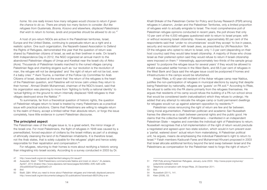*home. No one really knows how many refugees would choose to return if given the chance to do so. There are simply too many factors to consider. But like refugees from Guatemala, Bosnia, Kosovo and elsewhere, displaced Palestinians that wish to return to homes, lands and properties should be allowed to do so.*<sup>47</sup>

A host of pro-return NGOs are active in the Palestinian territories, Israel, Europe and the United States, continuing to perpetuate return as a right and a realistic option. One such organization, the Nazareth-based Association to Defend the Rights of Refugees, demonstrated this year that the question of return was shared by Palestinian citizens of Israel, as well as their brethren in exile. On Israel's 64th Independence Day in 2012, the NGO organized an annual march to the abandoned Palestinian villages of Umqa and Kweikat near the Israeli city of Akko (Acre). Thousands of Palestinian Israelis marched to the ruined villages carrying Palestinian flags and chanting slogans such as 'our revolution is the revolution of man, the refugee will not be denigrated' and 'the right of return will not be lost, even if a baby cries'.48 Awni Touma, a member of the Follow-Up Committee for Arab Citizens of Israel, declared at the event that 'the return of the refugees is the heart of the Palestinian question, and Palestine will not know calm unless they return to their homes'. Ahmad Sheikh Muhammad, chairman of the NGO's board, said that his organization was planning to move from 'fighting to fortify a national identity' to 'actual fighting on the ground to return internally displaced 1948 refugees to their villages destroyed since the Nakba'.49

To summarize, far from a theoretical question of historic rights, the question of Palestinian refugee return to Israel is treated by many Palestinians as a practical issue with practical solutions. Claims that Palestinians are willing to relegate return to the realm of theory, accept a limited rather than absolute return, or forgo the issue completely, have little evidence in current Palestinian discourse.

#### **The principled aspect**

The Palestinian view of the refugee issue is, to a great extent, the mirror image of the Israeli one. For most Palestinians, the flight of refugees in 1948 was caused by a premeditated, forced expulsion of civilians by the Israeli military as part of a strategy of ethnically cleansing the land of its Palestinian inhabitants. It is therefore Israel, not the Arab states, that is solely culpable for the refugees' plight and hence solely responsible for their repatriation and compensation.50

For refugees, returning to their homes is more about rectifying a historic wrong than integrating into Israeli society. According to a survey conducted in 2003 by Dr.

49 *Ibid.*

Khalil Shikaki of the Palestinian Center for Policy and Survey Research (PSR) among refugees in Lebanon, Jordan and the Palestinian Territories, only a limited proportion of refugees wish to actually emigrate to Israel. The most comprehensive poll of Palestinian refugee opinions conducted in recent years, the poll shows that only 10 per cent of the 4,500 refugees questioned wish to return to Israel proper, with or without receiving Israeli citizenship. However, approximately 80 per cent of the respondents said that 'under no circumstances' would they accept 'to live in peace, security and reconciliation' with Israeli Jews, as prescribed by UN Resolution 194. Of the refugees who opted to return to Israel, only 1-3 per cent (depending on their host country) said they would take Israeli citizenship. A majority of those who chose Israel as their preferred option said they would refuse to return if Israeli citizenship were imposed on them.<sup>51</sup> Interestingly, approximately two-thirds of the sample group agreed 'to postpone the refugee issue for several years' if they would be allowed to inhabit evacuated settler homes in the West Bank, and 68.5 per cent of refugees in the West Bank and Gaza said the refugee issue could be postponed if homes and infrastructures in the camps would be refurbished.

Amjad Rfaie, a 40-year-old resident of the Askar refugee camp near Nablus, justifies the non-participation of refugees in municipal elections by saying that despite being Palestinian by nationality, refugees are 'guests' on PA soil.<sup>52</sup> According to Rfaie, the refusal to settle into the PA stems primarily from the refugees themselves. He argues that residents of his camp would refuse the building of a PA-run school since that would be considered tawtin (naturalisation) which they refuse to undergo. He added that any attempt to relocate the refugee camp or build permanent dwellings for refugees would run up against adamant opposition by residents.<sup>53</sup>

Palestinian voices renouncing the right of return are few and far between. Using moral argumentation, Palestinian politician and academic Sari Nusseibeh frames the dilemma as a clash between personal rights and the public good. He claims that the collective benefit of Palestinians – manifested in an independent Palestinian State – negates and overrides the individual right of Palestinians to return. Nusseibeh recognises that a full implementation of the right of return would preclude a negotiated and agreed-upon two-state solution, which would in turn prevent even a 'partial, watered down' actual return from materialising. A Palestinian political unit, he argues, means de-emphasising the individual Palestinian's right to return to Israel.54 Fatah members Kadourah Fares and Muhammad Khurani proposed in 2003 that Israel allocate additional territory beyond the land swap between Israel and the Palestinians as compensation for the Palestinian need to forgo the right of return.55

<sup>47</sup> http://www.badil.org/en/al-majdal/itemlist/category/34-issue27

<sup>48</sup> Awawdeh, Wadi'. "1948 Palestinians commemorate Nakba and insist on return," *Al-Jazeera*, April27, 2012 (Arabic) [http://www.aljazeera.net/news/pages/3b52966c-20f0-4af0-a3fb-](http://www.aljazeera.net/news/pages/3b52966c-20f0-4af0-a3fb-3f3ca565f2dd?GoogleStatID=21)[3f3ca565f2dd?GoogleStatID=21](http://www.aljazeera.net/news/pages/3b52966c-20f0-4af0-a3fb-3f3ca565f2dd?GoogleStatID=21) 

<sup>50</sup> Badil, *Q&A: What you need to know about Palestinian refugees and internally displaced persons* <http://www.badil.org/en/documents/category/35-publications?download=883%3Aq-a-en>

<sup>51</sup> PSR Polls among Palestinian Refugees, January-June 2003: [http://www.pcpsr.org/survey/](http://www.pcpsr.org/survey/polls/2003/reftable1.html) [polls/2003/reftable1.html](http://www.pcpsr.org/survey/polls/2003/reftable1.html)

<sup>52</sup> Telephone conversation with Amjad Rfaie, 25 December 2011.

<sup>53</sup> *Ibid.*

<sup>54</sup> Nusseibeh (2011), 141.

<sup>55</sup> Klein (2006), 53.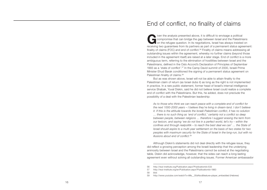End of conflict, no finality of claims

**Given** the analysis presented above, it is difficult to envisage a political<br>compromise that can bridge the gap between Israel and the Palestini<br>on the refugee question. In its negotiations, Israel has always insisted<br>rec compromise that can bridge the gap between Israel and the Palestinians on the refugee question. In its negotiations, Israel has always insisted on receiving two guarantees from its partners as part of a permanent status agreement: finality of claims (FOC) and end of conflict.<sup>56</sup> Finality of claims means addressing all outstanding issues within the agreement, whereby no further claims (beyond those included in the agreement itself) are raised at a later stage. End of conflict is a more ambiguous term, referring to the elimination of hostilities between Israel and the Palestinians, defined in the Oslo Accord's Declaration of Principles of September 1993 as a 'state of conflict'.57 In the Camp David summit of 2000, Israeli Prime Minister Ehud Barak conditioned the signing of a permanent status agreement on Palestinian finality of claims.<sup>58</sup>

But as was shown above, Israel will not be able to attain finality to the Palestinian claim of return (as Israel dubs it) as long as the right is not implemented in practice. In a rare public statement, former head of Israel's internal intelligence service Shabak, Yuval Diskin, said he did not believe Israel could realize a complete end of conflict with the Palestinians. But this, he added, does not preclude the possibility of a deal with the Palestinian leadership:

*As to those who think we can reach peace with a complete end of conflict for the next 1000-2000 years – I believe they're living in dream-land. I don't believe it. If this is the attitude towards the Israeli-Palestinian conflict, it has no solution … there is no such thing as 'end of conflict,' certainly not a conflict so deep between people, between religions … therefore I suggest erasing the term from our lexicon, and saying 'we do not live in a perfect world, let's try – within the confines and through realpolitik – to reach the best deal we can' … the State of Israel should aspire to a multi-year settlement on the basis of two states for two peoples with maximum security for the State of Israel in the long-run, but with no illusions about end of conflict.*<sup>59</sup>

Although Diskin's statements did not deal directly with the refugee issue, they did reflect a growing perception among the Israeli leadership that the underlying animosity between Israel and the Palestinians cannot be solved at the negotiating table. Diskin did acknowledge, however, that the sides can reach a long-lasting agreement even without solving all outstanding issues. Former American ambassador

<sup>56</sup> <http://reut-institute.org/Publication.aspx?PublicationId=533>

<sup>57</sup> <http://reut-institute.org/en/Publication.aspx?PublicationId=1983>

<sup>58</sup> *Ibid.*

<sup>59</sup> [http://www.youtube.com/watch?v=iMs\\_\\_05sNoo&feature=player\\_embedded](http://www.youtube.com/watch?v=iMs__05sNoo&feature=player_embedded) (Hebrew)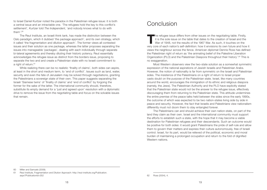to Israel Daniel Kurtzer noted the paradox in the Palestinian refugee issue: it is both a central issue and an intractable one. 'The refugees hold the key to this conflict's settlement', Kurtzer told *The Independent*, 'and nobody knows what to do with them' $60$ 

The Reut Institute, an Israeli think tank, has made the distinction between the Oslo paradigm, which it dubbed 'the package approach', and its own strategy, which it called 'the fragmentation and dilution approach'. The former views all contested issues and their solution as one package, whereas the latter proposes separating the issues into manageable 'packages', dealing with each individually through separate bi-lateral agreements and thereby diluting their historic potency. Reut essentially acknowledges the refugee issue as distinct from the borders issue, proposing to separate the two and and create a Palestinian state with no Israeli commitment to a right of return.<sup>61</sup>

While realizing there can be no realistic 'finality of claims', both sides can aspire, at least in the short and medium term, to 'end of conflict'. Issues such as land, water, security and even the fate of Jerusalem may be solved through negotiations, granting the Palestinians a sovereign state of their own. This paper suggests separating the Israeli 'Siamese twins' of 'finality of claims' and 'end of conflict' by forgoing the former for the sake of the latter. The international community should, therefore, substitute its empty demand for a 'just and agreed upon' resolution with a diplomatic drive to remove the issue from the negotiating table and focus on the solvable issues that remain.

## Conclusion

The refugee issue differs from other issues on the negotiating table. Firstly, it is the sole issue on the table that dates to the creation of Israel and the War of 1948, not the results of the 1967 War. As such, it touche it is the sole issue on the table that dates to the creation of Israel and the War of 1948, not the results of the 1967 War. As such, it touches on the very core of each nation's self-definition: how it envisions its own future and how it views the neighbour across the fence. American diplomat Dennis Ross has defined the Palestinian right of return as 'the animating belief of the Palestine Liberation Organization (PLO) and the Palestinian Diaspora throughout their history'.62 This is no exaggeration.

Most Western observers view the two-state solution as a somewhat symmetric expression of the national aspirations of Jewish Israelis and Palestinian Arabs. However, the notion of nationality is far from symmetric on the Israeli and Palestinian sides. The insistence of the Palestinians on a right of return to Israel proper casts doubt on the purpose of the Palestinian state. Israel, like many countries around the world, encourages the immigration of its ethnic and religious diaspora (namely, the Jews). The Palestinian Authority and the PLO have explicitly stated that the Palestinian state would not be the answer to the refugee issue, effectively discouraging them from returning to the Palestinian state. This attitude undermines the entire premise of the peace talks held between the sides since the early 1990s, the outcome of which was expected to be two nation-states living side by side in peace and security. However, the fact that Israelis and Palestinians view nationalism differently must not doom them to stay entangled forever.

The Palestinians can and should achieve their own nation-state, on part of the land they claim as their own. Israel and the international community must support the efforts to establish such a state, with the hope that it may become a viable destination for Palestinian refugees and their descendants. Such an outcome would be positive for both sides: it would grant Palestinians the pride of self-rule and allow them to govern their matters and express their culture autonomously, free of Israeli control. Israel, for its part, would be relieved of the political, economic and moral burden of maintaining a prolonged occupation and return to the fold of dignified Western nations.

60 Miller and Samuels (2009).

<sup>61</sup> Reut Institute, Fragmentation and Dilution Approach: [http://reut-institute.org/Publication.](http://reut-institute.org/Publication.aspx?PublicationId=352) [aspx?PublicationId=352](http://reut-institute.org/Publication.aspx?PublicationId=352)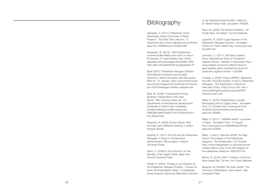### **Bibliography**

Alabaster, O. (2011) 'Palestinian Youth Pessimistic About Outcomes of Relief Projects', *The Daily Star Lebanon*, 12 December http://www.dailystar.com.lb/Article. aspx?id=156608#axzz1h4uNcHCM

Awawdeh, W. (2012) '1948 Palestinians commemorate Nakba and insist on return', *Al-Jazeera*, 27 April (Arabic) [http://www.](http://www.aljazeera.net/news/pages/3b52966c-20f0-4af0-a3fb-3f3ca565f2dd?GoogleStatID=21) [aljazeera.net/news/pages/3b52966c-20f0-](http://www.aljazeera.net/news/pages/3b52966c-20f0-4af0-a3fb-3f3ca565f2dd?GoogleStatID=21) [4af0-a3fb-3f3ca565f2dd?GoogleStatID=21](http://www.aljazeera.net/news/pages/3b52966c-20f0-4af0-a3fb-3f3ca565f2dd?GoogleStatID=21)

Badil (2007) "Palestinian Refugee Children: International Protection and Durable Solutions," *Badil Information and Discussion Brief no. 10*, January, [http://www.badil.org/ar/](http://www.badil.org/ar/documents/category/35-publications?download=100%3Arefugee-children-en&start=60) [documents/category/35-publications?downlo](http://www.badil.org/ar/documents/category/35-publications?download=100%3Arefugee-children-en&start=60) [ad=100%3Arefugee-children-en&start=60](http://www.badil.org/ar/documents/category/35-publications?download=100%3Arefugee-children-en&start=60)

Bitar, M. (2008) 'Unprotected Among Brothers: Palestinians in the Arab World', *RSC Working Paper No. 44*, Department of International Development: University of Oxford [http://reliefweb.](http://reliefweb.int/sites/reliefweb.int/files/resources/E6AD3B1899FF99AFC12573FD00491841-Full_Report.pdf) [int/sites/reliefweb.int/files/resources/](http://reliefweb.int/sites/reliefweb.int/files/resources/E6AD3B1899FF99AFC12573FD00491841-Full_Report.pdf) [E6AD3B1899FF99AFC12573FD00491841-](http://reliefweb.int/sites/reliefweb.int/files/resources/E6AD3B1899FF99AFC12573FD00491841-Full_Report.pdf) [Full\\_Report.pdf](http://reliefweb.int/sites/reliefweb.int/files/resources/E6AD3B1899FF99AFC12573FD00491841-Full_Report.pdf)

Bregman, A. (2005) *Elusive Peace: How the Holy Land Defeated America*, London: Penguin Books

Buehrig, E. (1971) *The UN and the Palestinian Refugees: A Study in Nonterritorial Administration*, Bloomington: Indiana University Press

Gans, C. (2008) *A Just Zionsim: On the Morality of the Jewish State*, New York: Oxford University Press

Hanafi, S. (2005) 'Finding a Just Solution for the Palestinian Refugee Problem – Toward an Extra-Territorial Nation State', in *Palestinian-Israeli Impasse: Exploring Alternative Solutions*  *to the Palestine-Israel Conflict*, edited by Dr. Mahdi Abdul Hadi, Jerusalem: PASSIA

Klein, M. (2006) *The Geneva Initiative – An Inside View*, Jerusalem: Carmel (Hebrew)

Lapidoth, R. (2002) *Legal Aspects of the Palestinian Refugee Question*, Jerusalem Center for Public Affairs [http://www.jcpa.org/](http://www.jcpa.org/jl/vp485.htm) [jl/vp485.htm](http://www.jcpa.org/jl/vp485.htm)

Levinson, C. (2011) 'UN Gaza Leaders Given Submachine Guns for Protection Against Hamas', *Haaretz*, 5 November [http://](http://www.haaretz.com/print-edition/news/un-gaza-leaders-given-submachine-guns-for-protection-against-hamas-1.322999) [www.haaretz.com/print-edition/news/un](http://www.haaretz.com/print-edition/news/un-gaza-leaders-given-submachine-guns-for-protection-against-hamas-1.322999)[gaza-leaders-given-submachine-guns-for](http://www.haaretz.com/print-edition/news/un-gaza-leaders-given-submachine-guns-for-protection-against-hamas-1.322999)[protection-against-hamas-1.322999](http://www.haaretz.com/print-edition/news/un-gaza-leaders-given-submachine-guns-for-protection-against-hamas-1.322999)

Lindsay, J. (2009) 'Fixing UNRWA: Repairing the UN's Troubled System of Aid to Palestinian Refugees', *The Washington Institute for Near East Policy, Policy Focus* #91 [http://](http://www.washingtoninstitute.org/pubPDFs/PolicyFocus91.pdf) [www.washingtoninstitute.org/pubPDFs/](http://www.washingtoninstitute.org/pubPDFs/PolicyFocus91.pdf) [PolicyFocus91.pdf](http://www.washingtoninstitute.org/pubPDFs/PolicyFocus91.pdf)

Miller, D. (2010) 'Palestinians in Jordan Anticipating End to Legal Limbo', *Jerusalem Post*, 27 October [http://www.jpost.com/](http://www.jpost.com/ArtsAndCulture/Entertainment/Article.aspx?id=192985) [ArtsAndCulture/Entertainment/Article.](http://www.jpost.com/ArtsAndCulture/Entertainment/Article.aspx?id=192985) [aspx?id=192985](http://www.jpost.com/ArtsAndCulture/Entertainment/Article.aspx?id=192985)

Miller, D. (2011) '"UNRWA Watch" Launches in Gaza', *Jerusalem Post*, 15 August [http://www.jpost.com/MiddleEast/Article.](http://www.jpost.com/MiddleEast/Article.aspx?id=233828) [aspx?id=233828](http://www.jpost.com/MiddleEast/Article.aspx?id=233828)

Miller, J. and D. Samuels (2009) 'No Way Home: The tragedy of the Palestinian diaspora', *The Independent*, 22 October [http://www.independent.co.uk/news/world/](http://www.independent.co.uk/news/world/middle-east/no-way-home-the-tragedy-of-the-palestinian-diaspora-1806790.html) [middle-east/no-way-home-the-tragedy-of](http://www.independent.co.uk/news/world/middle-east/no-way-home-the-tragedy-of-the-palestinian-diaspora-1806790.html)[the-palestinian-diaspora-1806790.html](http://www.independent.co.uk/news/world/middle-east/no-way-home-the-tragedy-of-the-palestinian-diaspora-1806790.html)

Morris, B. (2010) 1948: *A History of the First Arab-Israeli War*, Tel Aviv: Am Oved (Hebrew)

Muasher, M. (2008a) *The Arab Center: The Promise of Moderation*, New Haven: Yale University Press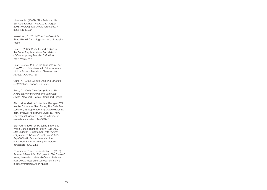Muasher, M. (2008b) 'The Arab Hand is Still Outstretched', *Haaretz*, 13 August 2008 (Hebrew) [http://www.haaretz.co.il/](http://www.haaretz.co.il/misc/1.1342599) [misc/1.1342599](http://www.haaretz.co.il/misc/1.1342599)

Nusseibeh, S. (2011) *What is a Palestinian State Worth?* Cambridge: Harvard University Press

Post, J. (2005) 'When Hatred is Bred in the Bone: Psycho-cultural Foundations of Contemporary Terrorism', *Political Psychology*, 26:4

Post, J., et al. (2003) 'The Terrorists in Their Own Words: Interviews with 35 Incarcerated Middle Eastern Terrorists', *Terrorism and Political Violence*, 15:1

Qurie, A. (2008) *Beyond Oslo, the Struggle for Palestine*, London: I.B. Tauris

Ross, D. (2004) *The Missing Peace: The Inside Story of the Fight for Middle East Peace*, New York: Farrar, Straus and Giroux

Slemrod, A. (2011a) 'Interview: Refugees Will Not be Citizens of New State', *The Daily Star Lebanon*, 15 September http://www.dailystar. com.lb/News/Politics/2011/Sep-15/148791 interview-refugees-will-not-be-citizens-ofnew-state.ashx#axzz1euQ7SyKc

Slemrod, A. (2011b) 'Palestine Statehood Won't Cancel Right of Return', *The Daily Star Lebanon*, 8 September http://www. dailystar.com.lb/News/Local-News/2011/ Sep-08/148218-interview-palestinestatehood-wont-cancel-right-of-return. ashx#axzz1euQ7SyKc

Zilbershats, Y. and Goren-Amitai, N. (2010) *Return of Palestinian Refugees to The State of Israel*, Jerusalem: Metzilah Center (Hebrew) [http://www.metzilah.org.il/webfiles/fck/File](http://www.metzilah.org.il/webfiles/fck/File/plitimshiva/plitim%20FINAL.pdf)  [plitimshiva/plitim%20FINAL.pdf](http://www.metzilah.org.il/webfiles/fck/File/plitimshiva/plitim%20FINAL.pdf)